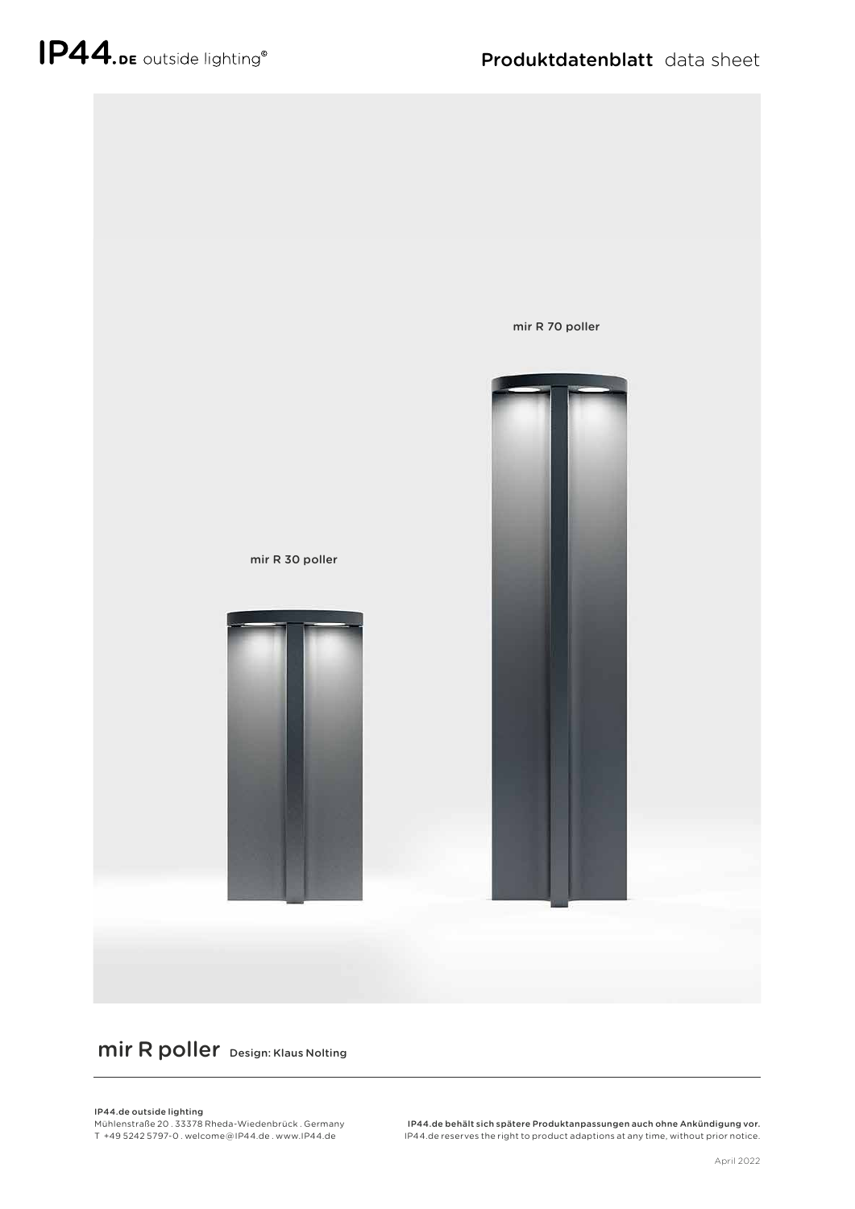

## mir R poller Design: Klaus Nolting

## IP44.de outside lighting

Mühlenstraße 20 . 33378 Rheda-Wiedenbrück . Germany T +49 5242 5797-0 . welcome @ IP44.de . www.IP44.de

IP44.de behält sich spätere Produktanpassungen auch ohne Ankündigung vor. IP44.de reserves the right to product adaptions at any time, without prior notice.